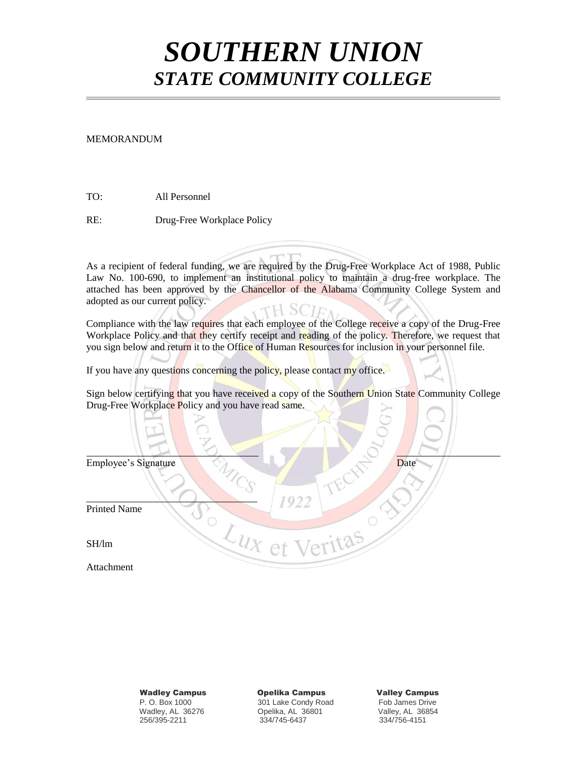## *SOUTHERN UNION STATE COMMUNITY COLLEGE*

## MEMORANDUM

TO: All Personnel

RE: Drug-Free Workplace Policy

As a recipient of federal funding, we are required by the Drug-Free Workplace Act of 1988, Public Law No. 100-690, to implement an institutional policy to maintain a drug-free workplace. The attached has been approved by the Chancellor of the Alabama Community College System and adopted as our current policy. TH SCIEN

Compliance with the law requires that each employee of the College receive a copy of the Drug-Free Workplace Policy and that they certify receipt and reading of the policy. Therefore, we request that you sign below and return it to the Office of Human Resources for inclusion in your personnel file.

If you have any questions concerning the policy, please contact my office.

Sign below certifying that you have received a copy of the Southern Union State Community College Drug-Free Workplace Policy and you have read same.

| Employee's Signature | Date |
|----------------------|------|
|                      | 1922 |
| Printed Name         |      |
| SH/lm                |      |
| Attachment           |      |

 Wadley Campus Opelika Campus Valley Campus P. O. Box 1000 301 Lake Condy Road Fob James Drive Opelika, AL 36801 256/395-2211 334/745-6437 334/756-4151